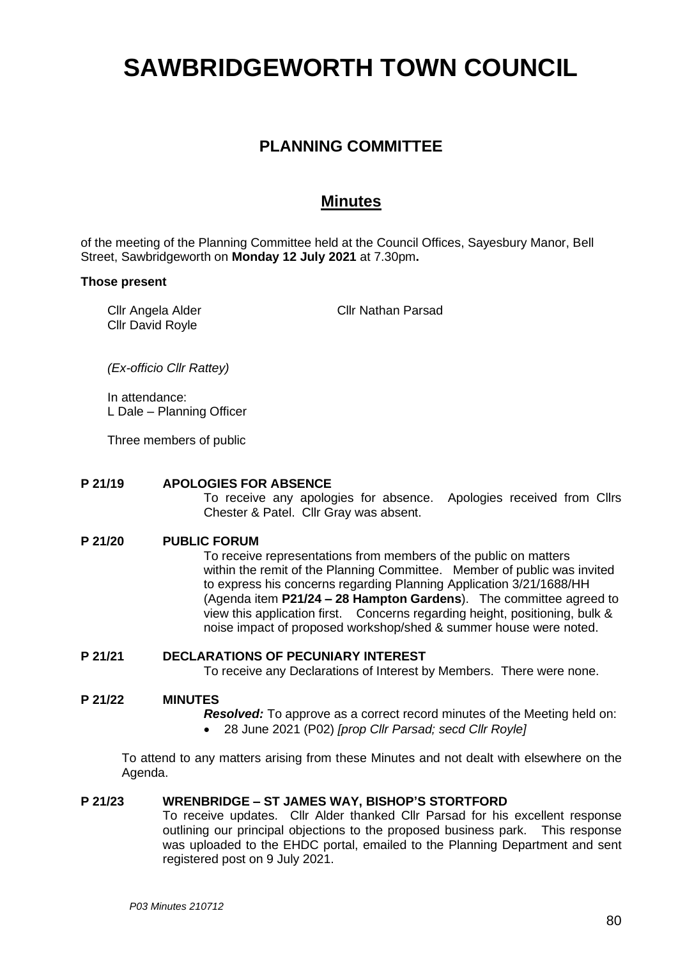# **SAWBRIDGEWORTH TOWN COUNCIL**

# **PLANNING COMMITTEE**

## **Minutes**

of the meeting of the Planning Committee held at the Council Offices, Sayesbury Manor, Bell Street, Sawbridgeworth on **Monday 12 July 2021** at 7.30pm**.**

#### **Those present**

Cllr Angela Alder Cllr David Royle

Cllr Nathan Parsad

*(Ex-officio Cllr Rattey)*

In attendance: L Dale – Planning Officer

Three members of public

#### **P 21/19 APOLOGIES FOR ABSENCE**

To receive any apologies for absence. Apologies received from Cllrs Chester & Patel. Cllr Gray was absent.

#### **P 21/20 PUBLIC FORUM**

To receive representations from members of the public on matters within the remit of the Planning Committee. Member of public was invited to express his concerns regarding Planning Application 3/21/1688/HH (Agenda item **P21/24 – 28 Hampton Gardens**). The committee agreed to view this application first. Concerns regarding height, positioning, bulk & noise impact of proposed workshop/shed & summer house were noted.

#### **P 21/21 DECLARATIONS OF PECUNIARY INTEREST**

To receive any Declarations of Interest by Members. There were none.

#### **P 21/22 MINUTES**

- *Resolved:* To approve as a correct record minutes of the Meeting held on:
- 28 June 2021 (P02) *[prop Cllr Parsad; secd Cllr Royle]*

To attend to any matters arising from these Minutes and not dealt with elsewhere on the Agenda.

#### **P 21/23 WRENBRIDGE – ST JAMES WAY, BISHOP'S STORTFORD**

To receive updates. Cllr Alder thanked Cllr Parsad for his excellent response outlining our principal objections to the proposed business park. This response was uploaded to the EHDC portal, emailed to the Planning Department and sent registered post on 9 July 2021.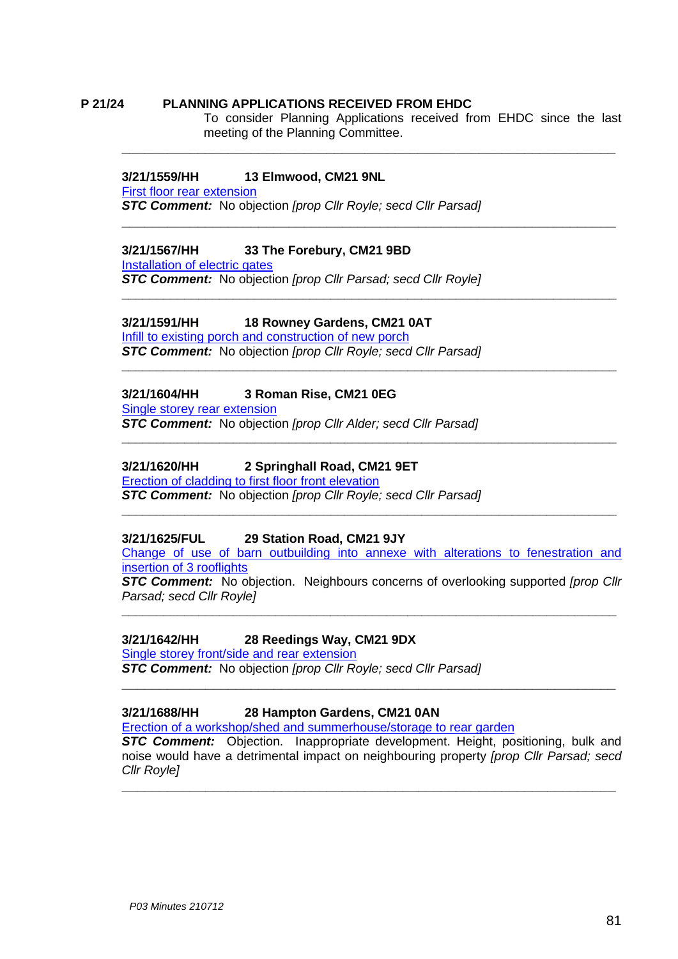#### **P 21/24 PLANNING APPLICATIONS RECEIVED FROM EHDC**

To consider Planning Applications received from EHDC since the last meeting of the Planning Committee.

**\_\_\_\_\_\_\_\_\_\_\_\_\_\_\_\_\_\_\_\_\_\_\_\_\_\_\_\_\_\_\_\_\_\_\_\_\_\_\_\_\_\_\_\_\_\_\_\_\_\_\_\_\_\_\_\_\_\_\_\_\_\_\_\_\_**

**\_\_\_\_\_\_\_\_\_\_\_\_\_\_\_\_\_\_\_\_\_\_\_\_\_\_\_\_\_\_\_\_\_\_\_\_\_\_\_\_\_\_\_\_\_\_\_\_\_\_\_\_\_\_\_\_\_\_\_\_\_\_\_\_\_**

**\_\_\_\_\_\_\_\_\_\_\_\_\_\_\_\_\_\_\_\_\_\_\_\_\_\_\_\_\_\_\_\_\_\_\_\_\_\_\_\_\_\_\_\_\_\_\_\_\_\_\_\_\_\_\_\_\_\_\_\_\_\_\_\_\_\_\_\_\_\_\_**

**\_\_\_\_\_\_\_\_\_\_\_\_\_\_\_\_\_\_\_\_\_\_\_\_\_\_\_\_\_\_\_\_\_\_\_\_\_\_\_\_\_\_\_\_\_\_\_\_\_\_\_\_\_\_\_\_\_\_\_\_\_\_\_\_\_\_\_\_\_\_\_**

**\_\_\_\_\_\_\_\_\_\_\_\_\_\_\_\_\_\_\_\_\_\_\_\_\_\_\_\_\_\_\_\_\_\_\_\_\_\_\_\_\_\_\_\_\_\_\_\_\_\_\_\_\_\_\_\_\_\_\_\_\_\_\_\_\_\_\_\_\_\_\_**

#### **3/21/1559/HH 13 Elmwood, CM21 9NL**

[First floor rear extension](https://publicaccess.eastherts.gov.uk/online-applications/applicationDetails.do?activeTab=documents&keyVal=QUJLQVGLFH400)  *STC Comment:* No objection *[prop Cllr Royle; secd Cllr Parsad]*

#### **3/21/1567/HH 33 The Forebury, CM21 9BD**

[Installation of electric gates](https://publicaccess.eastherts.gov.uk/online-applications/applicationDetails.do?activeTab=documents&keyVal=QUOJGKGLFHU00)

*STC Comment:* No objection *[prop Cllr Parsad; secd Cllr Royle]*

### **3/21/1591/HH 18 Rowney Gardens, CM21 0AT**

Infill [to existing porch and construction of new porch](https://publicaccess.eastherts.gov.uk/online-applications/applicationDetails.do?activeTab=documents&keyVal=QUQPC6GLFJC00)

*STC Comment:* No objection *[prop Cllr Royle; secd Cllr Parsad]*

#### **3/21/1604/HH 3 Roman Rise, CM21 0EG**

[Single storey rear extension](https://publicaccess.eastherts.gov.uk/online-applications/applicationDetails.do?activeTab=documents&keyVal=QUSV4WGLFK900) *STC Comment:* No objection *[prop Cllr Alder; secd Cllr Parsad]*

#### **3/21/1620/HH 2 Springhall Road, CM21 9ET**

[Erection of cladding to first floor front elevation](https://publicaccess.eastherts.gov.uk/online-applications/applicationDetails.do?activeTab=documents&keyVal=QUVY78GLFL800)

*STC Comment:* No objection *[prop Cllr Royle; secd Cllr Parsad]*

#### **3/21/1625/FUL 29 Station Road, CM21 9JY**

[Change of use of barn outbuilding into annexe with alterations to fenestration and](https://publicaccess.eastherts.gov.uk/online-applications/applicationDetails.do?activeTab=documents&keyVal=QUWKE4GLFLK00)  [insertion of 3 rooflights](https://publicaccess.eastherts.gov.uk/online-applications/applicationDetails.do?activeTab=documents&keyVal=QUWKE4GLFLK00)

**\_\_\_\_\_\_\_\_\_\_\_\_\_\_\_\_\_\_\_\_\_\_\_\_\_\_\_\_\_\_\_\_\_\_\_\_\_\_\_\_\_\_\_\_\_\_\_\_\_\_\_\_\_\_\_\_\_\_\_\_\_\_\_\_\_\_\_\_\_\_\_**

*STC Comment:* No objection. Neighbours concerns of overlooking supported *[prop Cllr Parsad; secd Cllr Royle]*

**\_\_\_\_\_\_\_\_\_\_\_\_\_\_\_\_\_\_\_\_\_\_\_\_\_\_\_\_\_\_\_\_\_\_\_\_\_\_\_\_\_\_\_\_\_\_\_\_\_\_\_\_\_\_\_\_\_\_\_\_\_\_\_\_\_\_\_\_\_\_\_**

**\_\_\_\_\_\_\_\_\_\_\_\_\_\_\_\_\_\_\_\_\_\_\_\_\_\_\_\_\_\_\_\_\_\_\_\_\_\_\_\_\_\_\_\_\_\_\_\_\_\_\_\_\_\_\_\_\_\_\_\_\_\_\_\_\_**

#### **3/21/1642/HH 28 Reedings Way, CM21 9DX**

[Single storey front/side and rear extension](https://publicaccess.eastherts.gov.uk/online-applications/applicationDetails.do?activeTab=documents&keyVal=QV09PIGLFMQ00)

*STC Comment:* No objection *[prop Cllr Royle; secd Cllr Parsad]*

#### **3/21/1688/HH 28 Hampton Gardens, CM21 0AN**

[Erection of a workshop/shed and summerhouse/storage to rear garden](https://publicaccess.eastherts.gov.uk/online-applications/applicationDetails.do?activeTab=documents&keyVal=QV97Y9GLFQ000)

*STC Comment:* Objection. Inappropriate development. Height, positioning, bulk and noise would have a detrimental impact on neighbouring property *[prop Cllr Parsad; secd Cllr Royle]*

**\_\_\_\_\_\_\_\_\_\_\_\_\_\_\_\_\_\_\_\_\_\_\_\_\_\_\_\_\_\_\_\_\_\_\_\_\_\_\_\_\_\_\_\_\_\_\_\_\_\_\_\_\_\_\_\_\_\_\_\_\_\_\_\_\_**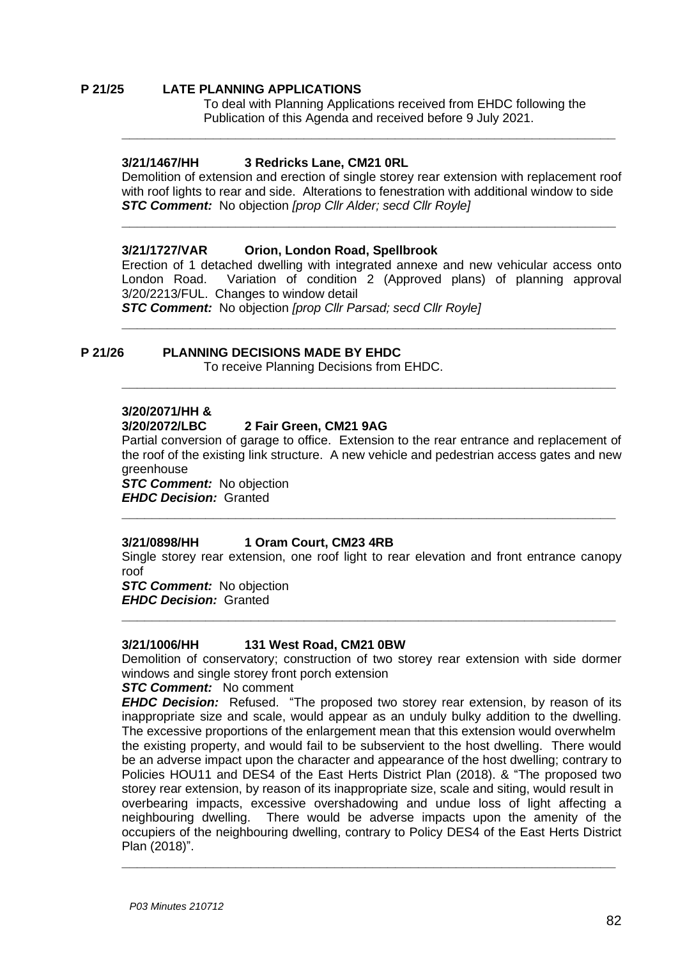#### **P 21/25 LATE PLANNING APPLICATIONS**

To deal with Planning Applications received from EHDC following the Publication of this Agenda and received before 9 July 2021.

#### **3/21/1467/HH 3 Redricks Lane, CM21 0RL**

Demolition of extension and erection of single storey rear extension with replacement roof with roof lights to rear and side. Alterations to fenestration with additional window to side *STC Comment:* No objection *[prop Cllr Alder; secd Cllr Royle]*

**\_\_\_\_\_\_\_\_\_\_\_\_\_\_\_\_\_\_\_\_\_\_\_\_\_\_\_\_\_\_\_\_\_\_\_\_\_\_\_\_\_\_\_\_\_\_\_\_\_\_\_\_\_\_\_\_\_\_\_\_\_\_\_\_\_**

**\_\_\_\_\_\_\_\_\_\_\_\_\_\_\_\_\_\_\_\_\_\_\_\_\_\_\_\_\_\_\_\_\_\_\_\_\_\_\_\_\_\_\_\_\_\_\_\_\_\_\_\_\_\_\_\_\_\_\_\_\_\_\_\_\_**

#### **3/21/1727/VAR Orion, London Road, Spellbrook**

Erection of 1 detached dwelling with integrated annexe and new vehicular access onto London Road. Variation of condition 2 (Approved plans) of planning approval 3/20/2213/FUL. Changes to window detail

**\_\_\_\_\_\_\_\_\_\_\_\_\_\_\_\_\_\_\_\_\_\_\_\_\_\_\_\_\_\_\_\_\_\_\_\_\_\_\_\_\_\_\_\_\_\_\_\_\_\_\_\_\_\_\_\_\_\_\_\_\_\_\_\_\_**

**\_\_\_\_\_\_\_\_\_\_\_\_\_\_\_\_\_\_\_\_\_\_\_\_\_\_\_\_\_\_\_\_\_\_\_\_\_\_\_\_\_\_\_\_\_\_\_\_\_\_\_\_\_\_\_\_\_\_\_\_\_\_\_\_\_**

*STC Comment:* No objection *[prop Cllr Parsad; secd Cllr Royle]*

#### **P 21/26 PLANNING DECISIONS MADE BY EHDC**

To receive Planning Decisions from EHDC.

#### **3/20/2071/HH &**

#### **3/20/2072/LBC 2 Fair Green, CM21 9AG**

Partial conversion of garage to office. Extension to the rear entrance and replacement of the roof of the existing link structure. A new vehicle and pedestrian access gates and new greenhouse

*STC Comment:* No objection *EHDC Decision:* Granted

#### **3/21/0898/HH 1 Oram Court, CM23 4RB**

Single storey rear extension, one roof light to rear elevation and front entrance canopy roof

**\_\_\_\_\_\_\_\_\_\_\_\_\_\_\_\_\_\_\_\_\_\_\_\_\_\_\_\_\_\_\_\_\_\_\_\_\_\_\_\_\_\_\_\_\_\_\_\_\_\_\_\_\_\_\_\_\_\_\_\_\_\_\_\_\_**

*STC Comment:* No objection *EHDC Decision:* Granted

#### **3/21/1006/HH 131 West Road, CM21 0BW**

Demolition of conservatory; construction of two storey rear extension with side dormer windows and single storey front porch extension

**\_\_\_\_\_\_\_\_\_\_\_\_\_\_\_\_\_\_\_\_\_\_\_\_\_\_\_\_\_\_\_\_\_\_\_\_\_\_\_\_\_\_\_\_\_\_\_\_\_\_\_\_\_\_\_\_\_\_\_\_\_\_\_\_\_**

#### *STC Comment:* No comment

*EHDC Decision:* Refused. "The proposed two storey rear extension, by reason of its inappropriate size and scale, would appear as an unduly bulky addition to the dwelling. The excessive proportions of the enlargement mean that this extension would overwhelm the existing property, and would fail to be subservient to the host dwelling. There would be an adverse impact upon the character and appearance of the host dwelling; contrary to Policies HOU11 and DES4 of the East Herts District Plan (2018). & "The proposed two storey rear extension, by reason of its inappropriate size, scale and siting, would result in overbearing impacts, excessive overshadowing and undue loss of light affecting a neighbouring dwelling. There would be adverse impacts upon the amenity of the occupiers of the neighbouring dwelling, contrary to Policy DES4 of the East Herts District Plan (2018)".

**\_\_\_\_\_\_\_\_\_\_\_\_\_\_\_\_\_\_\_\_\_\_\_\_\_\_\_\_\_\_\_\_\_\_\_\_\_\_\_\_\_\_\_\_\_\_\_\_\_\_\_\_\_\_\_\_\_\_\_\_\_\_\_\_\_**